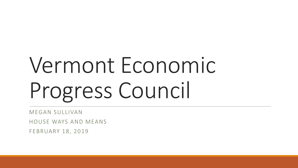# Vermont Economic Progress Council

MEGAN SULLIVAN

HOUSE WAYS AND MEANS

FEBRUARY 18, 2019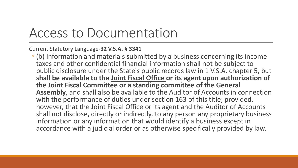#### Access to Documentation

Current Statutory Language-**32 V.S.A. § 3341**

◦ (b) Information and materials submitted by a business concerning its income taxes and other confidential financial information shall not be subject to public disclosure under the State's public records law in 1 V.S.A. chapter 5, but **shall be available to the Joint Fiscal Office or its agent upon authorization of the Joint Fiscal Committee or a standing committee of the General Assembly**, and shall also be available to the Auditor of Accounts in connection with the performance of duties under section 163 of this title; provided, however, that the Joint Fiscal Office or its agent and the Auditor of Accounts shall not disclose, directly or indirectly, to any person any proprietary business information or any information that would identify a business except in accordance with a judicial order or as otherwise specifically provided by law.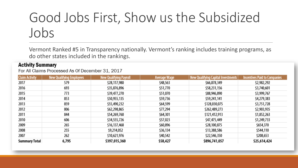## Good Jobs First, Show us the Subsidized Jobs

Vermont Ranked #5 in Transparency nationally. Vermont's ranking includes training programs, as do other states included in the rankings.

#### **Activity Summary**

For All Claims Processed As Of December 31, 2017

| <b>Claim Activity</b> | <b>New Qualifying Employees</b> | <b>New Qualifying Payroll</b> | <b>Average Wage</b> | New Qualifying Capital Investments | <b>Incentives Paid to Companies</b> |
|-----------------------|---------------------------------|-------------------------------|---------------------|------------------------------------|-------------------------------------|
| 2017                  | 579                             | \$28,117,980                  | \$48,563            | \$66,878,349                       | \$2,982,292                         |
| 2016                  | 693                             | \$35,876,896                  | \$51,770            | \$58,231,156                       | \$3,740,601                         |
| 2015                  | 773                             | \$39,477,270                  | \$51,070            | \$88,946,890                       | \$3,999,767                         |
| 2014                  | 853                             | \$50,955,135                  | \$59,736            | \$59,241,141                       | \$4,279,383                         |
| 2013                  | 859                             | \$55,490,232                  | \$64,599            | \$128,030,075                      | \$3,751,728                         |
| 2012                  | 806                             | \$62,298,865                  | \$77,294            | \$262,489,273                      | \$2,903,935                         |
| 2011                  | 844                             | \$54,269,760                  | \$64,301            | \$121,412,913                      | \$1,852,263                         |
| 2010                  | 606                             | \$34,555,726                  | \$57,023            | \$47,475,449                       | \$1,249,733                         |
| 2009                  | 265                             | \$16,137,468                  | \$60,896            | \$28,100,875                       | \$654,370                           |
| 2008                  | 255                             | \$9,214,052                   | \$36,134            | \$13,388,586                       | \$544,110                           |
| 2007                  | 262                             | \$10,621,976                  | \$40,542            | \$22,546,350                       | \$208,653                           |
| Summary Total         | 6,795                           | \$397,015,360                 | \$58,427            | \$896,741,057                      | \$25,614,424                        |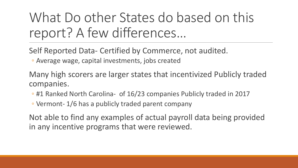### What Do other States do based on this report? A few differences…

Self Reported Data- Certified by Commerce, not audited.

◦ Average wage, capital investments, jobs created

Many high scorers are larger states that incentivized Publicly traded companies.

- #1 Ranked North Carolina- of 16/23 companies Publicly traded in 2017
- Vermont- 1/6 has a publicly traded parent company

Not able to find any examples of actual payroll data being provided in any incentive programs that were reviewed.